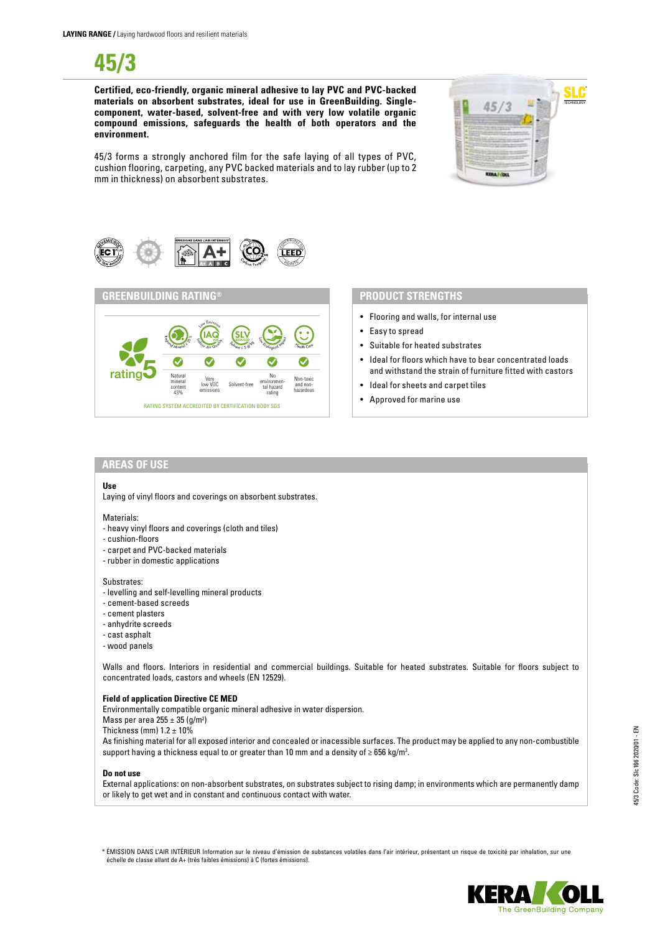**45/3**

**Certified, eco-friendly, organic mineral adhesive to lay PVC and PVC-backed materials on absorbent substrates, ideal for use in GreenBuilding. Singlecomponent, water-based, solvent-free and with very low volatile organic compound emissions, safeguards the health of both operators and the environment.**



45/3 forms a strongly anchored film for the safe laying of all types of PVC, cushion flooring, carpeting, any PVC backed materials and to lay rubber (up to 2 mm in thickness) on absorbent substrates.





- Flooring and walls, for internal use
- Easy to spread
- Suitable for heated substrates
- Ideal for floors which have to bear concentrated loads and withstand the strain of furniture fitted with castors
- Ideal for sheets and carpet tiles
- Approved for marine use

## **AREAS OF USE**

#### **Use**

Laying of vinyl floors and coverings on absorbent substrates.

#### Materials:

- heavy vinyl floors and coverings (cloth and tiles)
- cushion-floors
- carpet and PVC-backed materials
- rubber in domestic applications

#### Substrates:

- levelling and self-levelling mineral products
- cement-based screeds
- cement plasters
- anhydrite screeds
- cast asphalt
- wood panels

Walls and floors. Interiors in residential and commercial buildings. Suitable for heated substrates. Suitable for floors subject to concentrated loads, castors and wheels (EN 12529).

## **Field of application Directive CE MED**

Environmentally compatible organic mineral adhesive in water dispersion. Mass per area 255  $\pm$  35 (g/m<sup>2</sup>) Thickness (mm)  $1.2 \pm 10\%$ 

As finishing material for all exposed interior and concealed or inacessible surfaces. The product may be applied to any non-combustible support having a thickness equal to or greater than 10 mm and a density of  $\geq 656$  kg/m<sup>3</sup>.

#### **Do not use**

External applications: on non-absorbent substrates, on substrates subject to rising damp; in environments which are permanently damp or likely to get wet and in constant and continuous contact with water.

\* ÉMISSION DANS L'AIR INTÉRIEUR Information sur le niveau d'émission de substances volatiles dans l'air intérieur, présentant un risque de toxicité par inhalation, sur une échelle de classe allant de A+ (très faibles émissions) à C (fortes émissions).

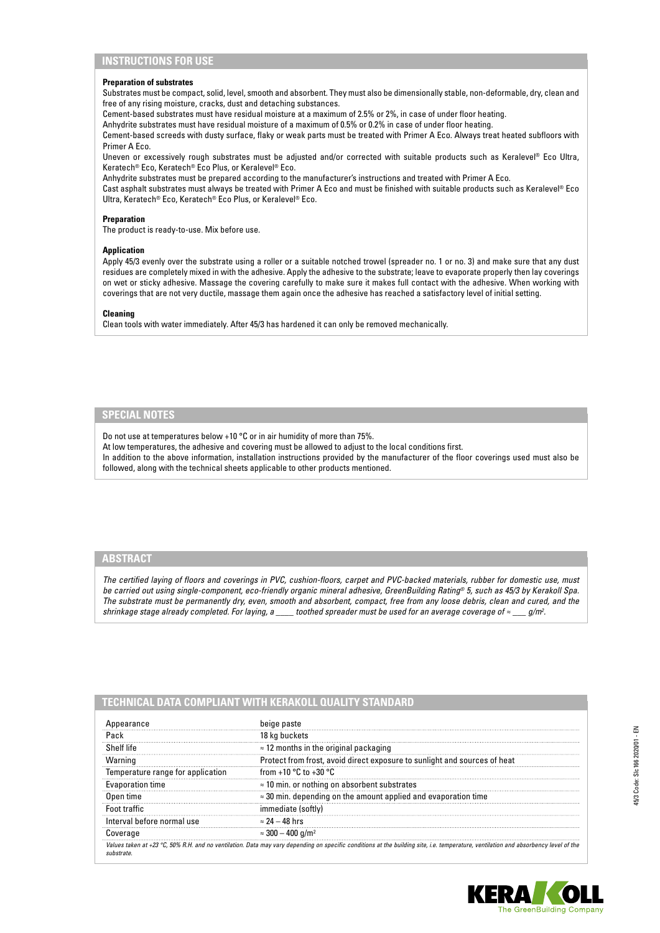# **INSTRUCTIONS FOR USE**

#### **Preparation of substrates**

Substrates must be compact, solid, level, smooth and absorbent. They must also be dimensionally stable, non-deformable, dry, clean and free of any rising moisture, cracks, dust and detaching substances.

Cement-based substrates must have residual moisture at a maximum of 2.5% or 2%, in case of under floor heating.

Anhydrite substrates must have residual moisture of a maximum of 0.5% or 0.2% in case of under floor heating.

Cement-based screeds with dusty surface, flaky or weak parts must be treated with Primer A Eco. Always treat heated subfloors with Primer A Eco.

Uneven or excessively rough substrates must be adjusted and/or corrected with suitable products such as Keralevel® Eco Ultra, Keratech® Eco, Keratech® Eco Plus, or Keralevel® Eco.

Anhydrite substrates must be prepared according to the manufacturer's instructions and treated with Primer A Eco.

Cast asphalt substrates must always be treated with Primer A Eco and must be finished with suitable products such as Keralevel® Eco Ultra, Keratech® Eco, Keratech® Eco Plus, or Keralevel® Eco.

#### **Preparation**

The product is ready-to-use. Mix before use.

#### **Application**

Apply 45/3 evenly over the substrate using a roller or a suitable notched trowel (spreader no. 1 or no. 3) and make sure that any dust residues are completely mixed in with the adhesive. Apply the adhesive to the substrate; leave to evaporate properly then lay coverings on wet or sticky adhesive. Massage the covering carefully to make sure it makes full contact with the adhesive. When working with coverings that are not very ductile, massage them again once the adhesive has reached a satisfactory level of initial setting.

### **Cleaning**

Clean tools with water immediately. After 45/3 has hardened it can only be removed mechanically.

## **SPECIAL NOTES**

Do not use at temperatures below +10 °C or in air humidity of more than 75%.

At low temperatures, the adhesive and covering must be allowed to adjust to the local conditions first. In addition to the above information, installation instructions provided by the manufacturer of the floor coverings used must also be followed, along with the technical sheets applicable to other products mentioned.

## **ABSTRACT**

*The certified laying of floors and coverings in PVC, cushion-floors, carpet and PVC-backed materials, rubber for domestic use, must be carried out using single-component, eco-friendly organic mineral adhesive, GreenBuilding Rating® 5, such as 45/3 by Kerakoll Spa. The substrate must be permanently dry, even, smooth and absorbent, compact, free from any loose debris, clean and cured, and the shrinkage stage already completed. For laying, a \_\_\_\_ toothed spreader must be used for an average coverage of ≈ \_\_\_ g/m2 .*

# **TECHNICAL DATA COMPLIANT WITH KERAKOLL QUALITY STANDARD**

| pearance                          | beige paste                                                               |
|-----------------------------------|---------------------------------------------------------------------------|
| Pack                              | 18 ka buckets                                                             |
| Shelf life                        | $\approx$ 12 months in the original packaging                             |
| Warning                           | Protect from frost, avoid direct exposure to sunlight and sources of heat |
| Temperature range for application | from +10 $^{\circ}$ C to +30 $^{\circ}$ C                                 |
| Evaporation time                  | $\approx$ 10 min. or nothing on absorbent substrates                      |
| Open time                         | $\approx$ 30 min. depending on the amount applied and evaporation time    |
| Foot traffic                      | immediate (softly)                                                        |
| Interval before normal use        | $\approx$ 24 – 48 hrs                                                     |
| Coverage                          | $\approx 300 - 400 \; \text{q/m}^2$                                       |